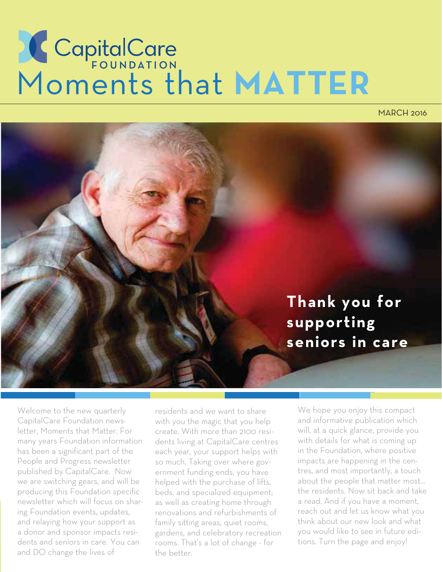# Moments that **MATTER**

MARCH 2016



Welcome to the new quarterly CapitalCare Foundation newsletter, Moments that Matter. For many years Foundation information has been a significant part of the People and Progress newsletter published by CapitalCare. Now we are switching gears, and will be producing this Foundation specific newsletter which will focus on sharing Foundation events, updates, and relaying how your support as a donor and sponsor impacts residents and seniors in care. You can and DO change the lives of

residents and we want to share with you the magic that you help create. With more than 2100 residents living at CapitalCare centres each year, your support helps with so much. Taking over where government funding ends, you have helped with the purchase of lifts, beds, and specialized equipment; as well as creating home through renovations and refurbishments of family sitting areas, quiet rooms, gardens, and celebratory recreation rooms. That's a lot of change - for the better.

We hope you enjoy this compact and informative publication which will, at a quick glance, provide you with details for what is coming up in the Foundation, where positive impacts are happening in the centres, and most importantly, a touch about the people that matter most… the residents. Now sit back and take a read. And if you have a moment, reach out and let us know what you think about our new look and what you would like to see in future editions. Turn the page and enjoy!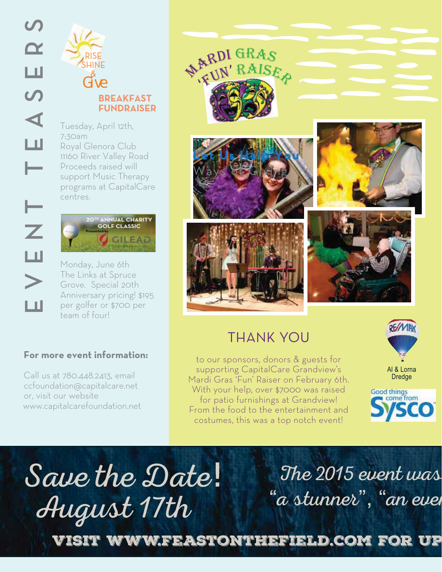

7:30am Royal Glenora Club 11160 River Valley Road Proceeds raised will support Music Therapy programs at CapitalCare centres.



Monday, June 6th The Links at Spruce Grove. Special 20th Anniversary pricing! \$195 per golfer or \$700 per team of four!

#### **For more event information:**

Call us at 780.448.2413, email ccfoundation@capitalcare.net or, visit our website www.capitalcarefoundation.net



### THANK YOU

to our sponsors, donors & guests for supporting CapitalCare Grandview's Mardi Gras 'Fun' Raiser on February 6th. With your help, over \$7000 was raised for patio furnishings at Grandview! From the food to the entertainment and costumes, this was a top notch event!





"a stunner", "an even August 17th Save the Date!

The 2015 event was

Visit www.feastonthefield.com for up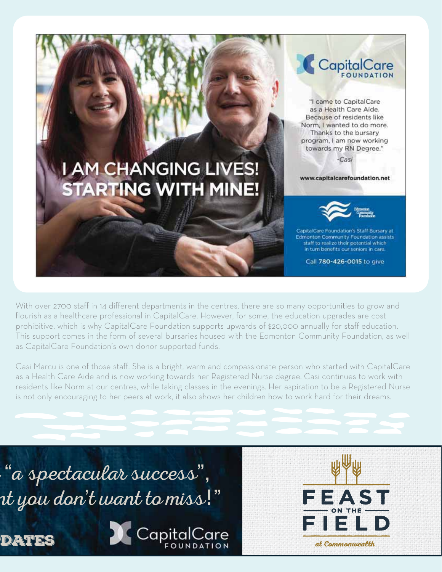# **I AM CHANGING LIVES! STARTING WITH MINE!**

CapitalCare

"I came to CapitalCare as a Health Care Aide. Because of residents like Norm, I wanted to do more. Thanks to the bursary program, I am now working towards my RN Degree."

-Casi

www.capitalcarefoundation.net



CapitalCare Foundation's Staff Bursary at **Edmonton Community Foundation assists** staff to realize their potential which in turn benefits our seniors in care.

Call 780-426-0015 to give

With over 2700 staff in 14 different departments in the centres, there are so many opportunities to grow and flourish as a healthcare professional in CapitalCare. However, for some, the education upgrades are cost prohibitive, which is why CapitalCare Foundation supports upwards of \$20,000 annually for staff education. This support comes in the form of several bursaries housed with the Edmonton Community Foundation, as well as CapitalCare Foundation's own donor supported funds.

Casi Marcu is one of those staff. She is a bright, warm and compassionate person who started with CapitalCare as a Health Care Aide and is now working towards her Registered Nurse degree. Casi continues to work with residents like Norm at our centres, while taking classes in the evenings. Her aspiration to be a Registered Nurse is not only encouraging to her peers at work, it also shows her children how to work hard for their dreams.

"a spectacular success", nt you don't want to miss!"





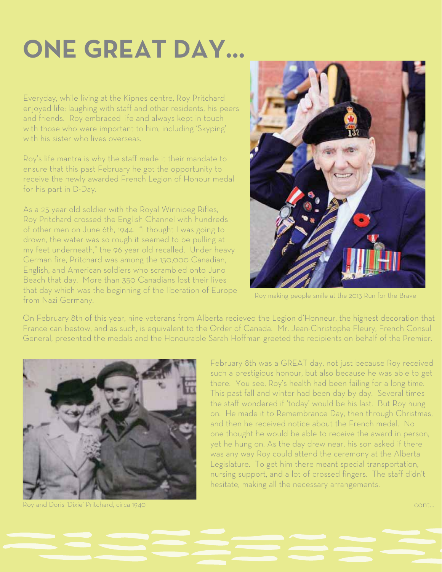# **ONE GREAT DAY...**

Everyday, while living at the Kipnes centre, Roy Pritchard enjoyed life; laughing with staff and other residents, his peers and friends. Roy embraced life and always kept in touch with those who were important to him, including 'Skyping' with his sister who lives overseas.

Roy's life mantra is why the staff made it their mandate to ensure that this past February he got the opportunity to receive the newly awarded French Legion of Honour medal for his part in D-Day.

As a 25 year old soldier with the Royal Winnipeg Rifles, Roy Pritchard crossed the English Channel with hundreds of other men on June 6th, 1944. "I thought I was going to drown, the water was so rough it seemed to be pulling at my feet underneath," the 96 year old recalled. Under heavy German fire, Pritchard was among the 150,000 Canadian, English, and American soldiers who scrambled onto Juno Beach that day. More than 350 Canadians lost their lives that day which was the beginning of the liberation of Europe from Nazi Germany.



Roy making people smile at the 2013 Run for the Brave

On February 8th of this year, nine veterans from Alberta recieved the Legion d'Honneur, the highest decoration that France can bestow, and as such, is equivalent to the Order of Canada. Mr. Jean-Christophe Fleury, French Consul General, presented the medals and the Honourable Sarah Hoffman greeted the recipients on behalf of the Premier.



Roy and Doris 'Dixie' Pritchard, circa 1940

February 8th was a GREAT day, not just because Roy received such a prestigious honour, but also because he was able to get there. You see, Roy's health had been failing for a long time. This past fall and winter had been day by day. Several times the staff wondered if 'today' would be his last. But Roy hung on. He made it to Remembrance Day, then through Christmas, and then he received notice about the French medal. No one thought he would be able to receive the award in person, yet he hung on. As the day drew near, his son asked if there was any way Roy could attend the ceremony at the Alberta Legislature. To get him there meant special transportation, nursing support, and a lot of crossed fingers. The staff didn't hesitate, making all the necessary arrangements.

cont...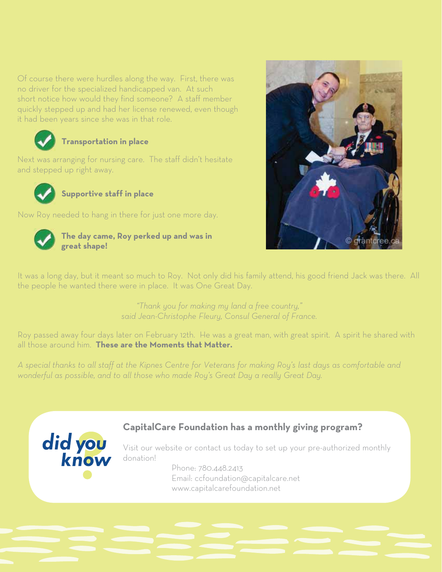Of course there were hurdles along the way. First, there was no driver for the specialized handicapped van. At such short notice how would they find someone? A staff member quickly stepped up and had her license renewed, even though it had been years since she was in that role.



#### **Transportation in place**

Next was arranging for nursing care. The staff didn't hesitate and stepped up right away.



**Supportive staff in place**

Now Roy needed to hang in there for just one more day.



**The day came, Roy perked up and was in great shape!**



It was a long day, but it meant so much to Roy. Not only did his family attend, his good friend Jack was there. All the people he wanted there were in place. It was One Great Day.

> *"Thank you for making my land a free country," said Jean-Christophe Fleury, Consul General of France.*

Roy passed away four days later on February 12th. He was a great man, with great spirit. A spirit he shared with all those around him. **These are the Moments that Matter.**

*A special thanks to all staff at the Kipnes Centre for Veterans for making Roy's last days as comfortable and wonderful as possible, and to all those who made Roy's Great Day a really Great Day.*



#### **CapitalCare Foundation has a monthly giving program?**

Visit our website or contact us today to set up your pre-authorized monthly donation!

> Phone: 780.448.2413 Email: ccfoundation@capitalcare.net www.capitalcarefoundation.net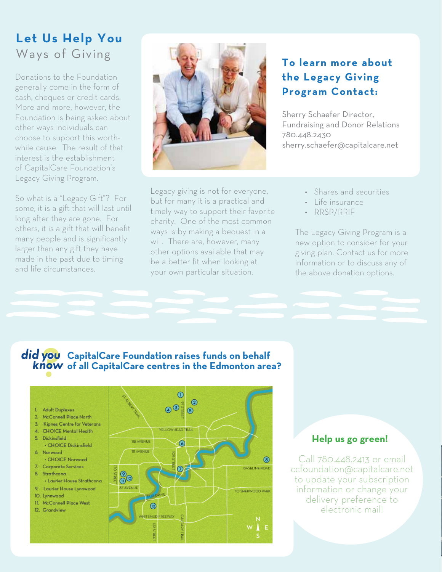#### **Let Us Help You** Ways of Giving

Donations to the Foundation generally come in the form of cash, cheques or credit cards. More and more, however, the Foundation is being asked about other ways individuals can choose to support this worthwhile cause. The result of that interest is the establishment of CapitalCare Foundation's Legacy Giving Program.

So what is a "Legacy Gift"? For some, it is a gift that will last until long after they are gone. For others, it is a gift that will benefit many people and is significantly larger than any gift they have made in the past due to timing and life circumstances.



#### **To learn more about the Legacy Giving Program Contact:**

Sherry Schaefer Director, Fundraising and Donor Relations 780.448.2430 sherry.schaefer@capitalcare.net

Legacy giving is not for everyone, but for many it is a practical and timely way to support their favorite charity. One of the most common ways is by making a bequest in a will. There are, however, many other options available that may be a better fit when looking at your own particular situation.

#### • Shares and securities

- Life insurance
- RRSP/RRIF

The Legacy Giving Program is a new option to consider for your giving plan. Contact us for more information or to discuss any of the above donation options.

#### **CapitalCare Foundation raises funds on behalf of all CapitalCare centres in the Edmonton area?**



#### **Help us go green!**

Call 780.448.2413 or email ccfoundation@capitalcare.net to update your subscription information or change your delivery preference to electronic mail!

p

s

n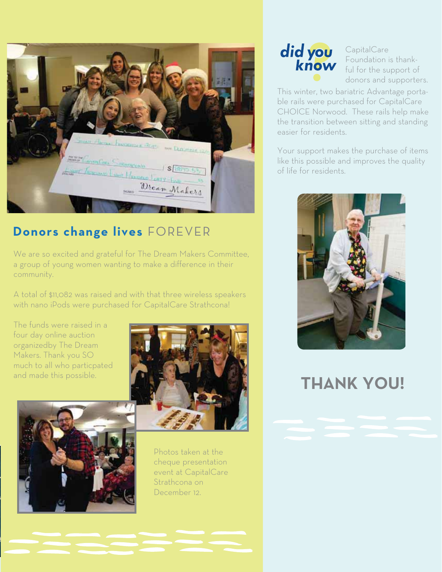

#### **Donors change lives** FOREVER

We are so excited and grateful for The Dream Makers Committee, a group of young women wanting to make a difference in their community.

A total of \$11,082 was raised and with that three wireless speakers with nano iPods were purchased for CapitalCare Strathcona!

The funds were raised in a four day online auction organizedby The Dream Makers. Thank you SO much to all who particpated and made this possible.





 $\overline{\phantom{a}}$ 

s

 $\left\vert \ \right\vert$ 

Photos taken at the cheque presentation event at CapitalCare Strathcona on December 12.



CapitalCare Foundation is thankful for the support of donors and supporters.

This winter, two bariatric Advantage portable rails were purchased for CapitalCare CHOICE Norwood. These rails help make the transition between sitting and standing easier for residents.

Your support makes the purchase of items like this possible and improves the quality of life for residents.



## **THANK YOU!**